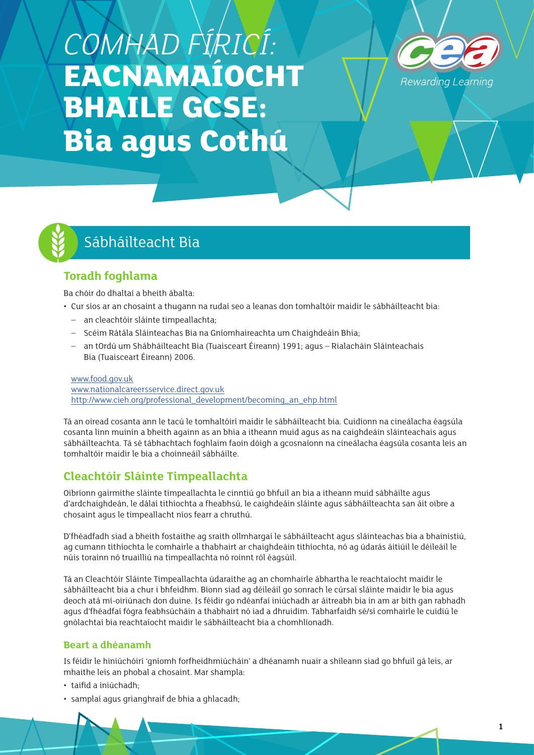# *COMHAD FÍRICÍ:*  **EACNAMAÍOCHT BHAILE GCSE: Bia agus Cothú**





# Sábháilteacht Bia

# **Toradh foghlama**

Ba chóir do dhaltaí a bheith ábalta:

- Cur síos ar an chosaint a thugann na rudaí seo a leanas don tomhaltóir maidir le sábháilteacht bia:
	- an cleachtóir sláinte timpeallachta;
	- Scéim Rátála Sláinteachas Bia na Gníomhaireachta um Chaighdeáin Bhia;
	- an tOrdú um Shábháilteacht Bia (Tuaisceart Éireann) 1991; agus Rialacháin Sláinteachais Bia (Tuaisceart Éireann) 2006.

[www.food.gov.uk](http://www.food.gov.uk) [www.nationalcareersservice.direct.gov.uk](http://www.nationalcareersservice.direct.gov.uk) [http://www.cieh.org/professional\\_development/becoming\\_an\\_ehp.html](http://www.cieh.org/professional_development/becoming_an_ehp.html)

Tá an oiread cosanta ann le tacú le tomhaltóirí maidir le sábháilteacht bia. Cuidíonn na cineálacha éagsúla cosanta linn muinín a bheith againn as an bhia a itheann muid agus as na caighdeáin sláinteachais agus sábháilteachta. Tá sé tábhachtach foghlaim faoin dóigh a gcosnaíonn na cineálacha éagsúla cosanta leis an tomhaltóir maidir le bia a choinneáil sábháilte.

# **Cleachtóir Sláinte Timpeallachta**

Oibríonn gairmithe sláinte timpeallachta le cinntiú go bhfuil an bia a itheann muid sábháilte agus d'ardchaighdeán, le dálaí tithíochta a fheabhsú, le caighdeáin sláinte agus sábháilteachta san áit oibre a chosaint agus le timpeallacht níos fearr a chruthú.

D'fhéadfadh siad a bheith fostaithe ag sraith ollmhargaí le sábháilteacht agus sláinteachas bia a bhainistiú, ag cumann tithíochta le comhairle a thabhairt ar chaighdeáin tithíochta, nó ag údarás áitiúil le déileáil le núis torainn nó truailliú na timpeallachta nó roinnt ról éagsúil.

Tá an Cleachtóir Sláinte Timpeallachta údaraithe ag an chomhairle ábhartha le reachtaíocht maidir le sábháilteacht bia a chur i bhfeidhm. Bíonn siad ag déileáil go sonrach le cúrsaí sláinte maidir le bia agus deoch atá mí-oiriúnach don duine. Is féidir go ndéanfaí iniúchadh ar áitreabh bia in am ar bith gan rabhadh agus d'fhéadfaí fógra feabhsúcháin a thabhairt nó iad a dhruidim. Tabharfaidh sé/sí comhairle le cuidiú le gnólachtaí bia reachtaíocht maidir le sábháilteacht bia a chomhlíonadh.

#### **Beart a dhéanamh**

Is féidir le hiniúchóirí 'gníomh forfheidhmiúcháin' a dhéanamh nuair a shíleann siad go bhfuil gá leis, ar mhaithe leis an phobal a chosaint. Mar shampla:

- taifid a iniúchadh;
- samplaí agus grianghraif de bhia a ghlacadh;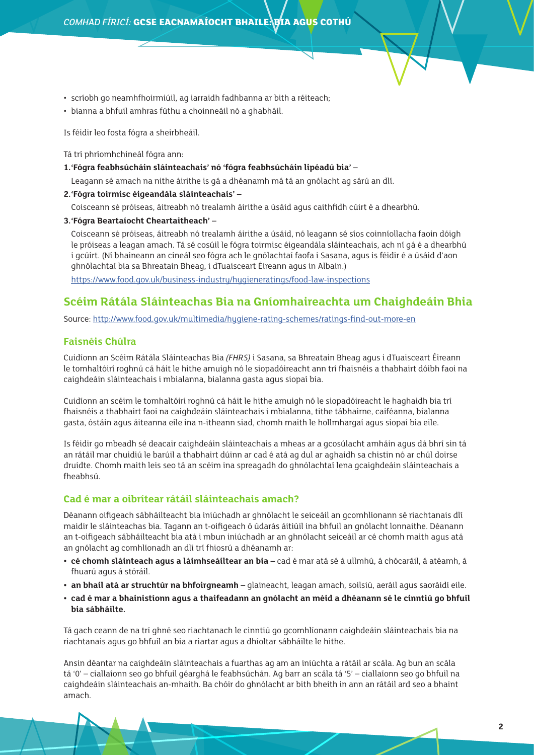- scríobh go neamhfhoirmiúil, ag iarraidh fadhbanna ar bith a réiteach;
- bianna a bhfuil amhras fúthu a choinneáil nó a ghabháil.

Is féidir leo fosta fógra a sheirbheáil.

Tá trí phríomhchineál fógra ann:

**1.'Fógra feabhsúcháin sláinteachais' nó 'fógra feabhsúcháin lipéadú bia' –**

Leagann sé amach na nithe áirithe is gá a dhéanamh má tá an gnólacht ag sárú an dlí.

**2.'Fógra toirmisc éigeandála sláinteachais' –**

Coisceann sé próiseas, áitreabh nó trealamh áirithe a úsáid agus caithfidh cúirt é a dhearbhú.

**3.'Fógra Beartaíocht Cheartaitheach' –**

Coisceann sé próiseas, áitreabh nó trealamh áirithe a úsáid, nó leagann sé síos coinníollacha faoin dóigh le próiseas a leagan amach. Tá sé cosúil le fógra toirmisc éigeandála sláinteachais, ach ní gá é a dhearbhú i gcúirt. (Ní bhaineann an cineál seo fógra ach le gnólachtaí faofa i Sasana, agus is féidir é a úsáid d'aon ghnólachtaí bia sa Bhreatain Bheag, i dTuaisceart Éireann agus in Albain.)

<https://www.food.gov.uk/business-industry/hygieneratings/food-law-inspections>

## **Scéim Rátála Sláinteachas Bia na Gníomhaireachta um Chaighdeáin Bhia**

Source: <http://www.food.gov.uk/multimedia/hygiene-rating-schemes/ratings-find-out-more-en>

#### **Faisnéis Chúlra**

Cuidíonn an Scéim Rátála Sláinteachas Bia *(FHRS)* i Sasana, sa Bhreatain Bheag agus i dTuaisceart Éireann le tomhaltóirí roghnú cá háit le hithe amuigh nó le siopadóireacht ann trí fhaisnéis a thabhairt dóibh faoi na caighdeáin sláinteachais i mbialanna, bialanna gasta agus siopaí bia.

Cuidíonn an scéim le tomhaltóirí roghnú cá háit le hithe amuigh nó le siopadóireacht le haghaidh bia trí fhaisnéis a thabhairt faoi na caighdeáin sláinteachais i mbialanna, tithe tábhairne, caiféanna, bialanna gasta, óstáin agus áiteanna eile ina n-itheann siad, chomh maith le hollmhargaí agus siopaí bia eile.

Is féidir go mbeadh sé deacair caighdeáin sláinteachais a mheas ar a gcosúlacht amháin agus dá bhrí sin tá an rátáil mar chuidiú le barúil a thabhairt dúinn ar cad é atá ag dul ar aghaidh sa chistin nó ar chúl doirse druidte. Chomh maith leis seo tá an scéim ina spreagadh do ghnólachtaí lena gcaighdeáin sláinteachais a fheabhsú.

#### **Cad é mar a oibrítear rátáil sláinteachais amach?**

Déanann oifigeach sábháilteacht bia iniúchadh ar ghnólacht le seiceáil an gcomhlíonann sé riachtanais dlí maidir le sláinteachas bia. Tagann an t-oifigeach ó údarás áitiúil ina bhfuil an gnólacht lonnaithe. Déanann an t-oifigeach sábháilteacht bia atá i mbun iniúchadh ar an ghnólacht seiceáil ar cé chomh maith agus atá an gnólacht ag comhlíonadh an dlí trí fhiosrú a dhéanamh ar:

- **• cé chomh sláinteach agus a láimhseáiltear an bia –** cad é mar atá sé á ullmhú, á chócaráil, á atéamh, á fhuarú agus á stóráil.
- **• an bhail atá ar struchtúr na bhfoirgneamh –** glaineacht, leagan amach, soilsiú, aeráil agus saoráidí eile.
- **• cad é mar a bhainistíonn agus a thaifeadann an gnólacht an méid a dhéanann sé le cinntiú go bhfuil bia sábháilte.**

Tá gach ceann de na trí ghné seo riachtanach le cinntiú go gcomhlíonann caighdeáin sláinteachais bia na riachtanais agus go bhfuil an bia a riartar agus a dhíoltar sábháilte le hithe.

Ansin déantar na caighdeáin sláinteachais a fuarthas ag am an iniúchta a rátáil ar scála. Ag bun an scála tá '0' – ciallaíonn seo go bhfuil géarghá le feabhsúchán. Ag barr an scála tá '5' – ciallaíonn seo go bhfuil na caighdeáin sláinteachais an-mhaith. Ba chóir do ghnólacht ar bith bheith in ann an rátáil ard seo a bhaint amach.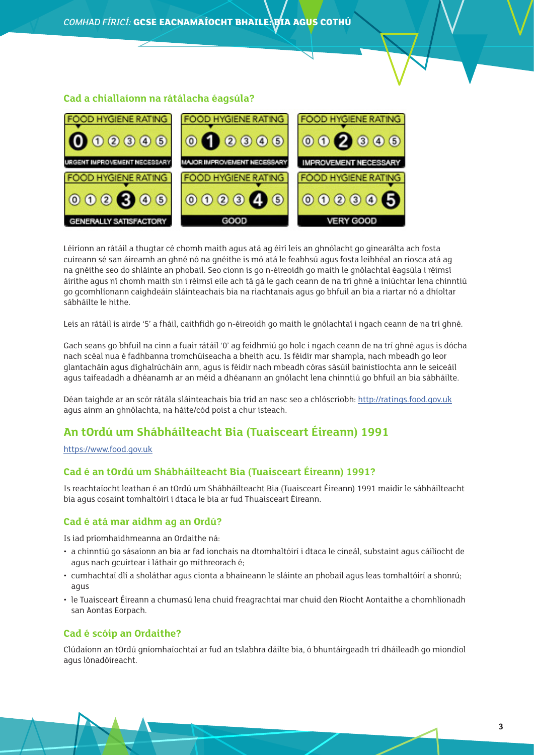#### **Cad a chiallaíonn na rátálacha éagsúla?**



Léiríonn an rátáil a thugtar cé chomh maith agus atá ag éirí leis an ghnólacht go ginearálta ach fosta cuireann sé san áireamh an ghné nó na gnéithe is mó atá le feabhsú agus fosta leibhéal an riosca atá ag na gnéithe seo do shláinte an phobail. Seo cionn is go n-éireoidh go maith le gnólachtaí éagsúla i réimsí áirithe agus ní chomh maith sin i réimsí eile ach tá gá le gach ceann de na trí ghné a iniúchtar lena chinntiú go gcomhlíonann caighdeáin sláinteachais bia na riachtanais agus go bhfuil an bia a riartar nó a dhíoltar sábháilte le hithe.

Leis an rátáil is airde '5' a fháil, caithfidh go n-éireoidh go maith le gnólachtaí i ngach ceann de na trí ghné.

Gach seans go bhfuil na cinn a fuair rátáil '0' ag feidhmiú go holc i ngach ceann de na trí ghné agus is dócha nach scéal nua é fadhbanna tromchúiseacha a bheith acu. Is féidir mar shampla, nach mbeadh go leor glantacháin agus díghalrúcháin ann, agus is féidir nach mbeadh córas sásúil bainistíochta ann le seiceáil agus taifeadadh a dhéanamh ar an méid a dhéanann an gnólacht lena chinntiú go bhfuil an bia sábháilte.

Déan taighde ar an scór rátála sláinteachais bia tríd an nasc seo a chlóscríobh:<http://ratings.food.gov.uk> agus ainm an ghnólachta, na háite/cód poist a chur isteach.

# **An tOrdú um Shábháilteacht Bia (Tuaisceart Éireann) 1991**

#### [https://www.food.gov.uk](https://www.food.gov.uk/sites/default/files/multimedia/pdfs/nifoodbusinessguide.pdf)

#### **Cad é an tOrdú um Shábháilteacht Bia (Tuaisceart Éireann) 1991?**

Is reachtaíocht leathan é an tOrdú um Shábháilteacht Bia (Tuaisceart Éireann) 1991 maidir le sábháilteacht bia agus cosaint tomhaltóirí i dtaca le bia ar fud Thuaisceart Éireann.

#### **Cad é atá mar aidhm ag an Ordú?**

Is iad príomhaidhmeanna an Ordaithe ná:

- a chinntiú go sásaíonn an bia ar fad ionchais na dtomhaltóirí i dtaca le cineál, substaint agus cáilíocht de agus nach gcuirtear i láthair go míthreorach é;
- cumhachtaí dlí a sholáthar agus cionta a bhaineann le sláinte an phobail agus leas tomhaltóirí a shonrú; agus
- le Tuaisceart Éireann a chumasú lena chuid freagrachtaí mar chuid den Ríocht Aontaithe a chomhlíonadh san Aontas Eorpach.

#### **Cad é scóip an Ordaithe?**

Clúdaíonn an tOrdú gníomhaíochtaí ar fud an tslabhra dáilte bia, ó bhuntáirgeadh trí dháileadh go miondíol agus lónadóireacht.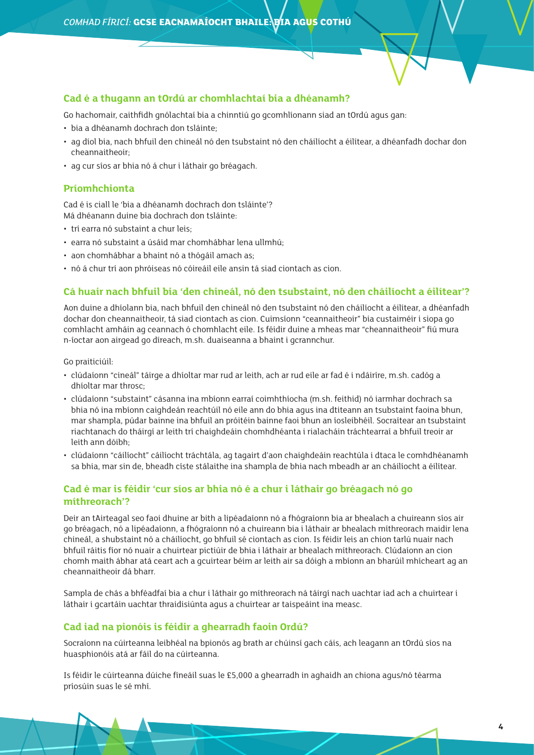#### **Cad é a thugann an tOrdú ar chomhlachtaí bia a dhéanamh?**

Go hachomair, caithfidh gnólachtaí bia a chinntiú go gcomhlíonann siad an tOrdú agus gan:

- bia a dhéanamh dochrach don tsláinte;
- ag díol bia, nach bhfuil den chineál nó den tsubstaint nó den cháilíocht a éilítear, a dhéanfadh dochar don cheannaitheoir;
- ag cur síos ar bhia nó á chur i láthair go bréagach.

#### **Príomhchionta**

Cad é is ciall le 'bia a dhéanamh dochrach don tsláinte'? Má dhéanann duine bia dochrach don tsláinte:

- trí earra nó substaint a chur leis;
- earra nó substaint a úsáid mar chomhábhar lena ullmhú;
- aon chomhábhar a bhaint nó a thógáil amach as;
- nó á chur trí aon phróiseas nó cóireáil eile ansin tá siad ciontach as cion.

#### **Cá huair nach bhfuil bia 'den chineál, nó den tsubstaint, nó den cháilíocht a éilítear'?**

Aon duine a dhíolann bia, nach bhfuil den chineál nó den tsubstaint nó den cháilíocht a éilítear, a dhéanfadh dochar don cheannaitheoir, tá siad ciontach as cion. Cuimsíonn "ceannaitheoir" bia custaiméir i siopa go comhlacht amháin ag ceannach ó chomhlacht eile. Is féidir duine a mheas mar "cheannaitheoir" fiú mura n-íoctar aon airgead go díreach, m.sh. duaiseanna a bhaint i gcrannchur.

Go praiticiúil:

- clúdaíonn "cineál" táirge a dhíoltar mar rud ar leith, ach ar rud eile ar fad é i ndáiríre, m.sh. cadóg a dhíoltar mar throsc;
- clúdaíonn "substaint" cásanna ina mbíonn earraí coimhthíocha (m.sh. feithid) nó iarmhar dochrach sa bhia nó ina mbíonn caighdeán reachtúil nó eile ann do bhia agus ina dtiteann an tsubstaint faoina bhun, mar shampla, púdar bainne ina bhfuil an próitéin bainne faoi bhun an íosleibhéil. Socraítear an tsubstaint riachtanach do tháirgí ar leith trí chaighdeáin chomhdhéanta i rialacháin tráchtearraí a bhfuil treoir ar leith ann dóibh;
- clúdaíonn "cáilíocht" cáilíocht tráchtála, ag tagairt d'aon chaighdeáin reachtúla i dtaca le comhdhéanamh sa bhia, mar sin de, bheadh císte stálaithe ina shampla de bhia nach mbeadh ar an cháilíocht a éilítear.

#### **Cad é mar is féidir 'cur síos ar bhia nó é a chur i láthair go bréagach nó go míthreorach'?**

Deir an tAirteagal seo faoi dhuine ar bith a lipéadaíonn nó a fhógraíonn bia ar bhealach a chuireann síos air go bréagach, nó a lipéadaíonn, a fhógraíonn nó a chuireann bia i láthair ar bhealach míthreorach maidir lena chineál, a shubstaint nó a cháilíocht, go bhfuil sé ciontach as cion. Is féidir leis an chion tarlú nuair nach bhfuil ráitis fíor nó nuair a chuirtear pictiúir de bhia i láthair ar bhealach míthreorach. Clúdaíonn an cion chomh maith ábhar atá ceart ach a gcuirtear béim ar leith air sa dóigh a mbíonn an bharúil mhícheart ag an cheannaitheoir dá bharr.

Sampla de chás a bhféadfaí bia a chur i láthair go míthreorach ná táirgí nach uachtar iad ach a chuirtear i láthair i gcartáin uachtar thraidisiúnta agus a chuirtear ar taispeáint ina measc.

#### **Cad iad na pionóis is féidir a ghearradh faoin Ordú?**

Socraíonn na cúirteanna leibhéal na bpionós ag brath ar chúinsí gach cáis, ach leagann an tOrdú síos na huasphionóis atá ar fáil do na cúirteanna.

Is féidir le cúirteanna dúiche fíneáil suas le £5,000 a ghearradh in aghaidh an chiona agus/nó téarma príosúin suas le sé mhí.